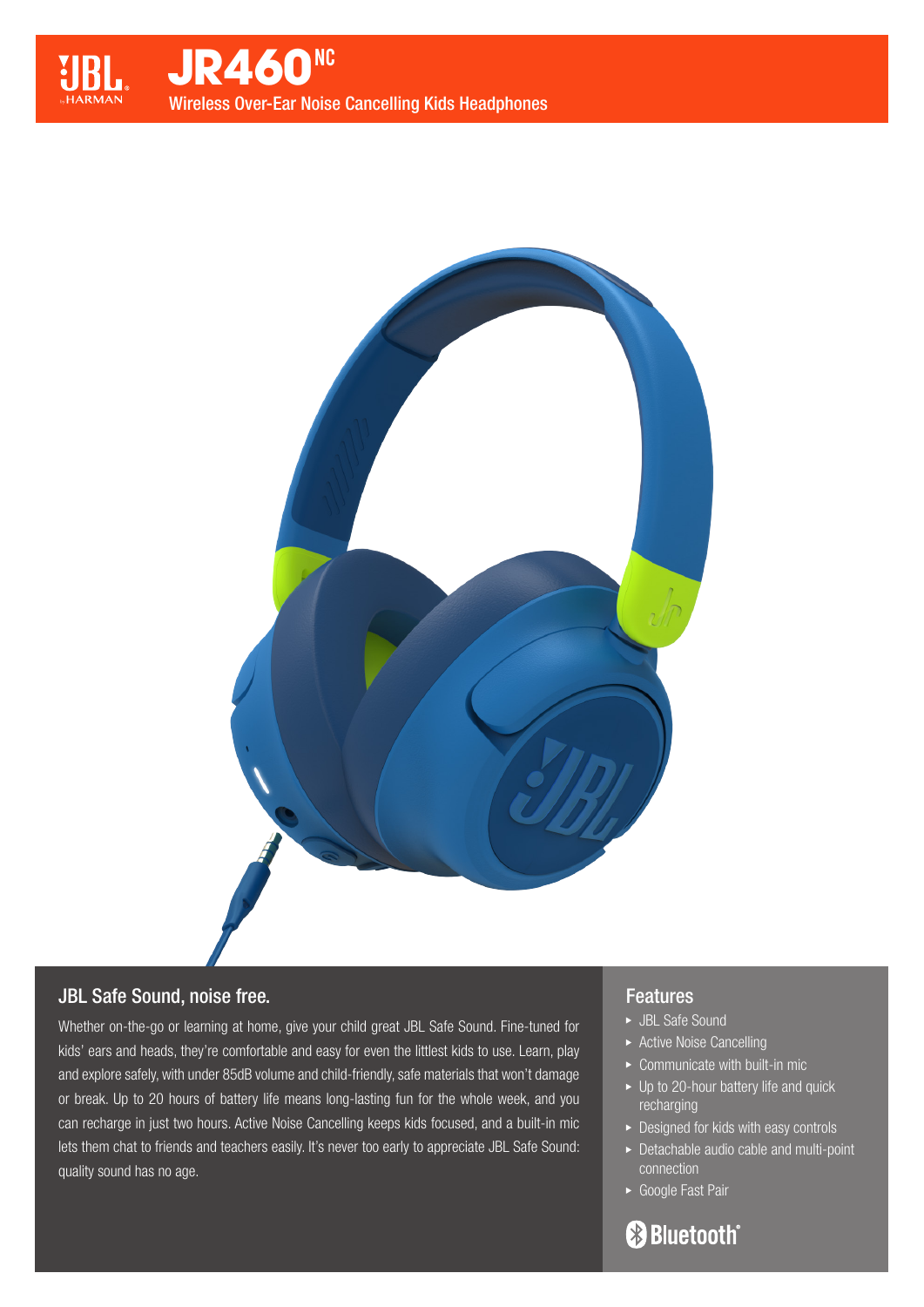

# JBL Safe Sound, noise free.

Whether on-the-go or learning at home, give your child great JBL Safe Sound. Fine-tuned for kids' ears and heads, they're comfortable and easy for even the littlest kids to use. Learn, play and explore safely, with under 85dB volume and child-friendly, safe materials that won't damage or break. Up to 20 hours of battery life means long-lasting fun for the whole week, and you can recharge in just two hours. Active Noise Cancelling keeps kids focused, and a built-in mic lets them chat to friends and teachers easily. It's never too early to appreciate JBL Safe Sound: quality sound has no age.

## Features

- JBL Safe Sound
- ▶ Active Noise Cancelling
- $\triangleright$  Communicate with built-in mic
- ▶ Up to 20-hour battery life and quick recharging
- ▶ Designed for kids with easy controls
- Detachable audio cable and multi-point connection
- Google Fast Pair